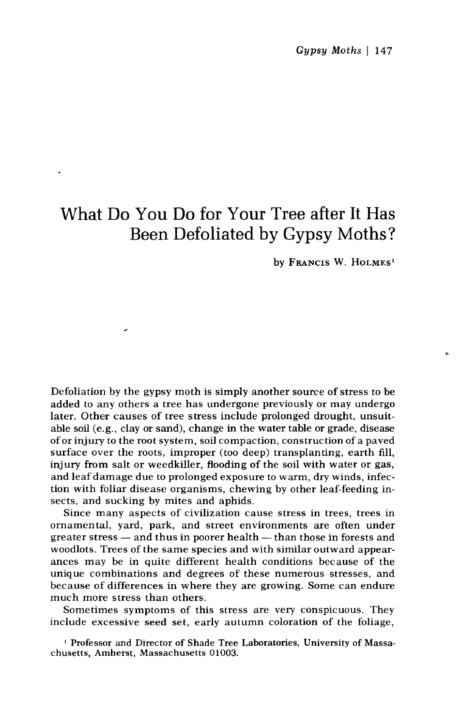## What Do You Do for Your Tree after It Has Been Defoliated by Gypsy Moths?

by FRANCIS W. HOLMES'

Defoliation by the gypsy moth is simply another source of stress to be added to any others a tree has undergone previously or may undergo later. Other causes of tree stress include prolonged drought, unsuitable soil (e.g., clay or sand), change in the water table or grade, disease of or injury to the root system, soil compaction, construction of a paved surface over the roots, improper (too deep) transplanting, earth fill, injury from salt or weedkiller, flooding of the soil with water or gas, and leaf damage due to prolonged exposure to warm, dry winds, infection with foliar disease organisms, chewing by other leaf-feeding insects, and sucking by mites and aphids.

~

Since many aspects of civilization cause stress in trees, trees in ornamental, yard, park, and street environments are often under greater stress  $-$  and thus in poorer health  $-$  than those in forests and woodlots. Trees of the same species and with similar outward appearances may be in quite different health conditions because of the unique combinations and degrees of these numerous stresses, and because of differences in where they are growing. Some can endure much more stress than others.

Sometimes symptoms of this stress are very conspicuous. They include excessive seed set, early autumn coloration of the foliage,

' Professor and Director of Shade Tree Laboratories, University of Massachusetts, Amherst, Massachusetts 01003.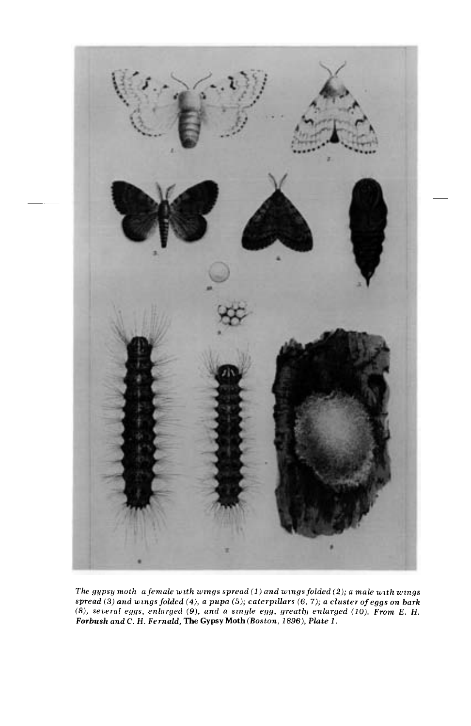

The gypsy moth  $a$  female with wings spread  $(1)$  and wings folded  $(2)$ ; a male with wings spread (3) and wings folded (4), a pupa (5); caterpillars (6, 7); a cluster of eggs on bark (8), several eggs, enlarged (9), and a single egg, greatly enlarged (10). From E. H. Forbush and C. H. Fernald, The Gypsy Moth (Boston, 1896), Plate 1.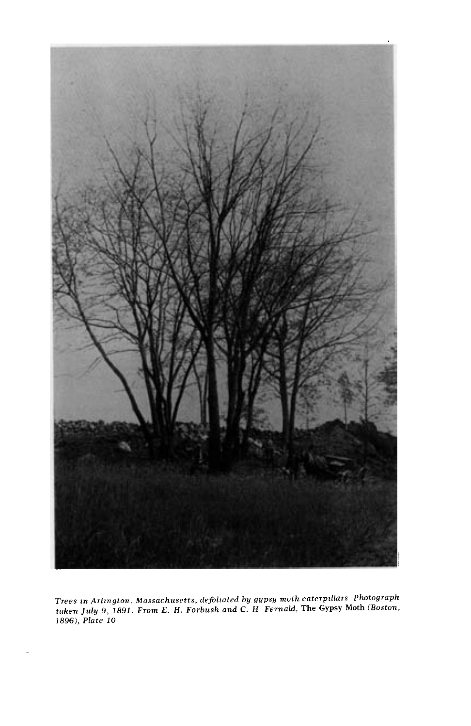

Trees in Arlington, Massachusetts, defoliated by gypsy moth caterpillars Photograph taken July 9, 1891. From E. H. Forbush and C. H Fernald, The Gypsy Moth (Boston, 1896), Plate 10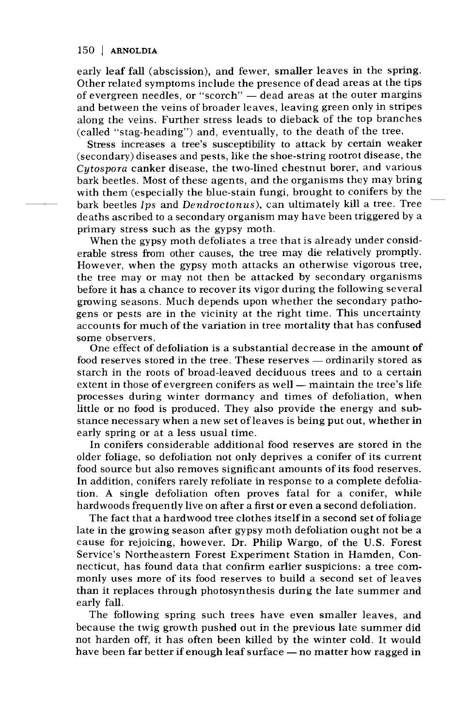## 150 | ARNOLDIA

early leaf fall (abscission), and fewer, smaller leaves in the spring. Other related symptoms include the presence of dead areas at the tips of evergreen needles, or "scorch" - dead areas at the outer margins and between the veins of broader leaves, leaving green only in stripes along the veins. Further stress leads to dieback of the top branches (called "stag-heading") and, eventually, to the death of the tree.

Stress increases a tree's susceptibility to attack by certain weaker (secondary) diseases and pests, like the shoe-string rootrot disease, the Cytospora canker disease, the two-lined chestnut borer, and various bark beetles. Most of these agents, and the organisms they may bring with them (especially the blue-stain fungi, brought to conifers by the bark beetles Ips and Dendroctonus), can ultimately kill a tree. Tree deaths ascribed to a secondary organism may have been triggered by a primary stress such as the gypsy moth.

When the gypsy moth defoliates a tree that is already under considerable stress from other causes, the tree may die relatively promptly. However, when the gypsy moth attacks an otherwise vigorous tree, the tree may or may not then be attacked by secondary organisms before it has a chance to recover its vigor during the following several growing seasons. Much depends upon whether the secondary pathogens or pests are in the vicinity at the right time. This uncertainty accounts for much of the variation in tree mortality that has confused some observers.

One effect of defoliation is a substantial decrease in the amount of food reserves stored in the tree. These reserves — ordinarily stored as starch in the roots of broad-leaved deciduous trees and to a certain extent in those of evergreen conifers as well — maintain the tree's life processes during winter dormancy and times of defoliation, when little or no food is produced. They also provide the energy and substance necessary when a new set of leaves is being put out, whether in early spring or at a less usual time.

In conifers considerable additional food reserves are stored in the older foliage, so defoliation not only deprives a conifer of its current food source but also removes significant amounts of its food reserves. In addition, conifers rarely refoliate in response to a complete defoliation. A single defoliation often proves fatal for a conifer, while hardwoods frequently live on after a first or even a second defoliation.

The fact that a hardwood tree clothes itself in a second set of foliage late in the growing season after gypsy moth defoliation ought not be a cause for rejoicing, however. Dr. Philip Wargo, of the U.S. Forest Service's Northeastern Forest Experiment Station in Hamden, Connecticut, has found data that confirm earlier suspicions: a tree commonly uses more of its food reserves to build a second set of leaves than it replaces through photosynthesis during the late summer and early fall.

The following spring such trees have even smaller leaves, and because the twig growth pushed out in the previous late summer did not harden off, it has often been killed by the winter cold. It would have been far better if enough leaf surface — no matter how ragged in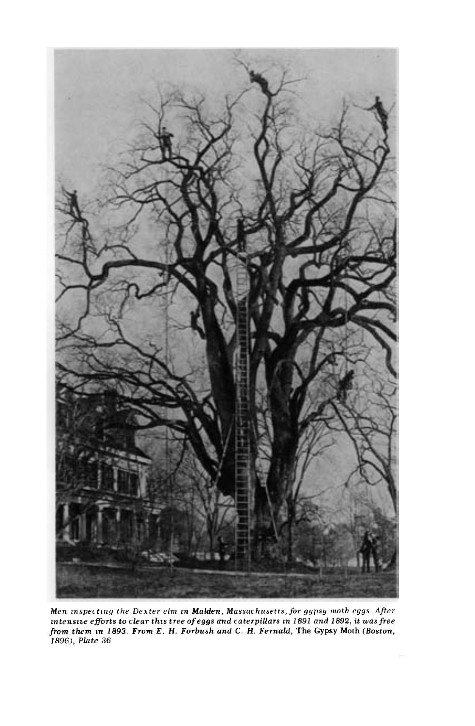

Men inspecting the Dexter elm in Malden, Massachusetts, for gypsy moth eggs After zntenszae efforts to clear this tree of eggs and caterpillars zn 1891 and 1892, it was free from them zn 1893. From E. H. Forbush and C. H. Fernald, The Gypsy Moth (Boston, 1896), Plate 36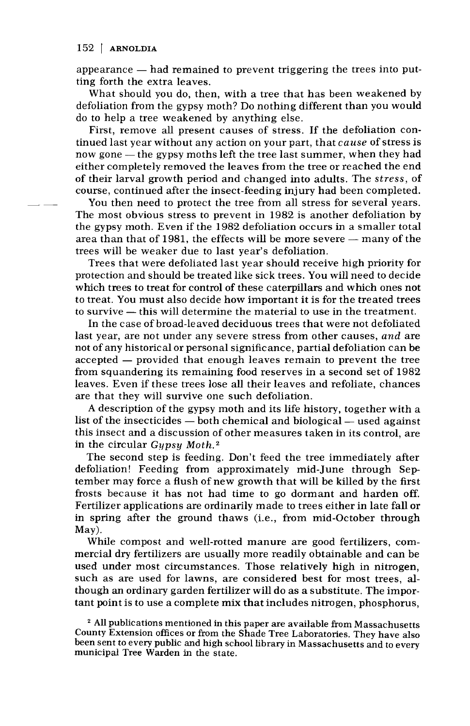## 152 | ARNOLDIA

appearance  $-$  had remained to prevent triggering the trees into putting forth the extra leaves.

What should you do, then, with a tree that has been weakened by defoliation from the gypsy moth? Do nothing different than you would do to help a tree weakened by anything else.

First, remove all present causes of stress. If the defoliation continued last year without any action on your part, that cause of stress is now gone  $-$  the gypsy moths left the tree last summer, when they had either completely removed the leaves from the tree or reached the end of their larval growth period and changed into adults. The stress, of course, continued after the insect-feeding injury had been completed.

You then need to protect the tree from all stress for several years. The most obvious stress to prevent in 1982 is another defoliation by the gypsy moth. Even if the 1982 defoliation occurs in a smaller total area than that of 1981, the effects will be more severe  $-$  many of the trees will be weaker due to last year's defoliation.

Trees that were defoliated last year should receive high priority for protection and should be treated like sick trees. You will need to decide which trees to treat for control of these caterpillars and which ones not to treat. You must also decide how important it is for the treated trees to survive — this will determine the material to use in the treatment.

In the case of broad-leaved deciduous trees that were not defoliated last year, are not under any severe stress from other causes, and are not of any historical or personal significance, partial defoliation can be accepted – provided that enough leaves remain to prevent the tree from squandering its remaining food reserves in a second set of 1982 leaves. Even if these trees lose all their leaves and refoliate, chances are that they will survive one such defoliation.

A description of the gypsy moth and its life history, together with a list of the insecticides  $-$  both chemical and biological  $-$  used against this insect and a discussion of other measures taken in its control, are in the circular  $Gypsy Moth.<sup>2</sup>$ 

The second step is feeding. Don't feed the tree immediately after defoliation! Feeding from approximately mid-June through September may force a flush of new growth that will be killed by the first frosts because it has not had time to go dormant and harden off. Fertilizer applications are ordinarily made to trees either in late fall or in spring after the ground thaws (i.e., from mid-October through May).

While compost and well-rotted manure are good fertilizers, commercial dry fertilizers are usually more readily obtainable and can be used under most circumstances. Those relatively high in nitrogen, such as are used for lawns, are considered best for most trees, although an ordinary garden fertilizer will do as a substitute. The impor tant point is to use a complete mix that includes nitrogen, phosphorus,

<sup>2</sup> All publications mentioned in this paper are available from Massachusetts County Extension offices or from the Shade Tree Laboratories. They have also been sent to every public and high school library in Massachusetts and to every municipal Tree Warden in the state.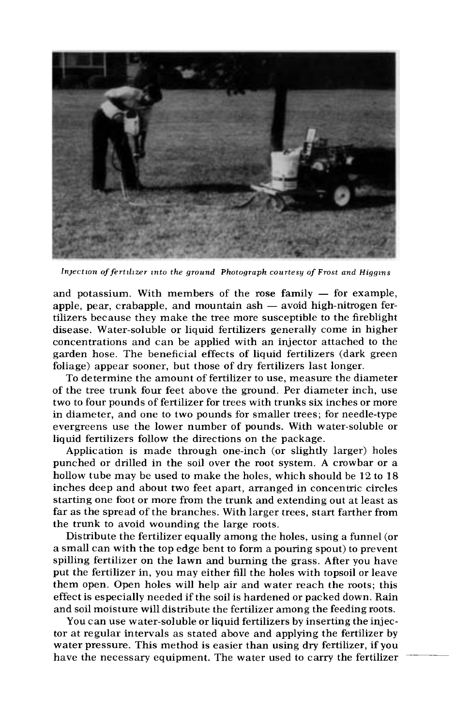

Injection of fertilizer into the ground Photograph courtesy of Frost and Higgins

and potassium. With members of the rose family  $-$  for example, apple, pear, crabapple, and mountain  $ash - avoid high-nitrogen fer$ tilizers because they make the tree more susceptible to the fireblight disease. Water-soluble or liquid fertilizers generally come in higher concentrations and can be applied with an injector attached to the garden hose. The beneficial effects of liquid fertilizers (dark green foliage) appear sooner, but those of dry fertilizers last longer.

To determine the amount of fertilizer to use, measure the diameter of the tree trunk four feet above the ground. Per diameter inch, use two to four pounds of fertilizer for trees with trunks six inches or more in diameter, and one to two pounds for smaller trees; for needle-type evergreens use the lower number of pounds. With water-soluble or liquid fertilizers follow the directions on the package.

Application is made through one-inch (or slightly larger) holes punched or drilled in the soil over the root system. A crowbar or a hollow tube may be used to make the holes, which should be 12 to 18 inches deep and about two feet apart, arranged in concentric circles starting one foot or more from the trunk and extending out at least as far as the spread of the branches. With larger trees, start farther from the trunk to avoid wounding the large roots.

Distribute the fertilizer equally among the holes, using a funnel (or a small can with the top edge bent to form a pouring spout) to prevent spilling fertilizer on the lawn and burning the grass. After you have put the fertilizer in, you may either fill the holes with topsoil or leave them open. Open holes will help air and water reach the roots; this effect is especially needed if the soil is hardened or packed down. Rain and soil moisture will distribute the fertilizer among the feeding roots.

You can use water-soluble or liquid fertilizers by inserting the injec tor at regular intervals as stated above and applying the fertilizer by water pressure. This method is easier than using dry fertilizer, if you have the necessary equipment. The water used to carry the fertilizer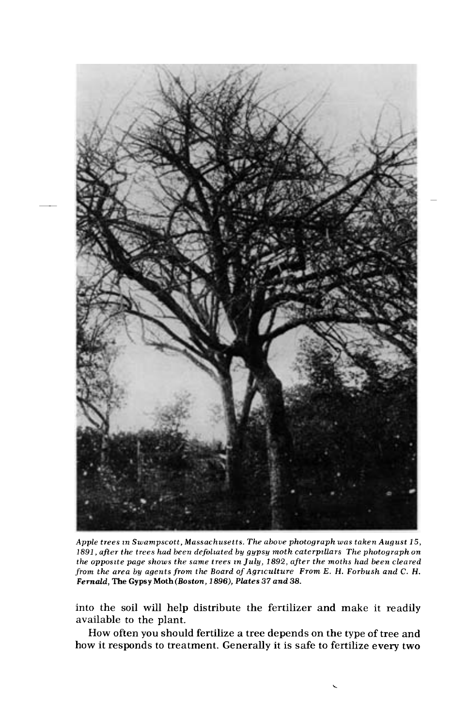

Apple trees in Swampscott, Massachusetts. The above photograph was taken August 15, 1891, after the trees had been defoliated by gypsy moth caterpillars The photograph on the opposite page shows the same trees m July, 1892, after the moths had been cleared from the area by agents from the Board of Agriculture From E. H. Forbush and C. H. Fernald, The Gypsy Moth (Boston,1896), Plates 37 and 38.

into the soil will help distribute the fertilizer and make it readily available to the plant.

How often you should fertilize a tree depends on the type of tree and how it responds to treatment. Generally it is safe to fertilize every two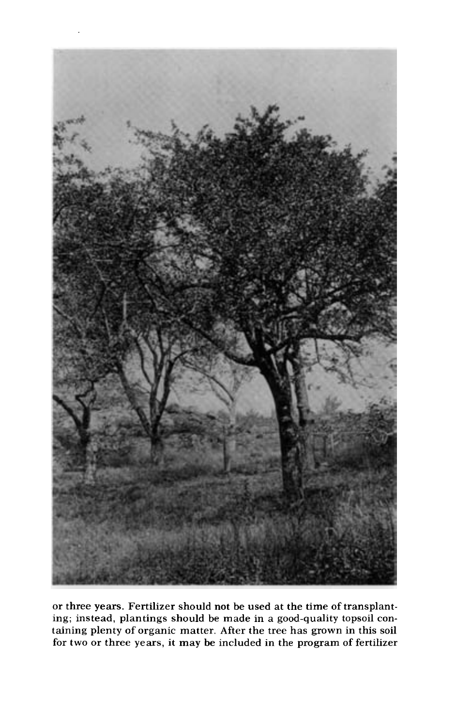

or three years. Fertilizer should not be used at the time of transplanting; instead, plantings should be made in a good-quality topsoil containing plenty of organic matter. After the tree has grown in this soil for two or three years, it may be included in the program of fertilizer